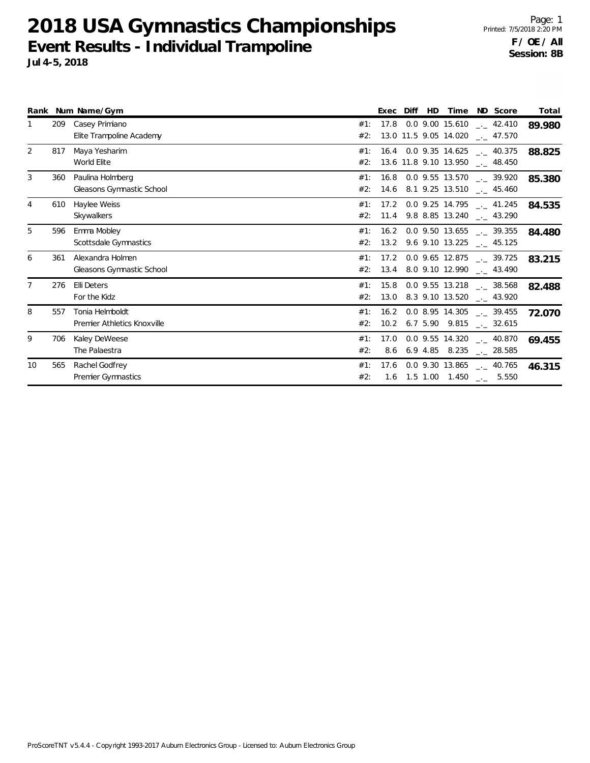**2018 USA Gymnastics Championships Event Results - Individual Trampoline Jul 4-5, 2018**

Page: 1 Printed: 7/5/2018 2:20 PM **F / OE / All Session: 8B**

| Event Results - Individual Trampoline |  |
|---------------------------------------|--|
| ul 4-5, 2018.                         |  |
|                                       |  |

|                |     | Rank Num Name/Gym                              |            | Exec | Diff | HD. | Time                  | ND Score                                                                            | Total  |
|----------------|-----|------------------------------------------------|------------|------|------|-----|-----------------------|-------------------------------------------------------------------------------------|--------|
|                | 209 | Casey Primiano<br>Elite Trampoline Academy     | #1:<br>#2: | 17.8 |      |     | 13.0 11.5 9.05 14.020 | $0.0$ 9.00 15.610 $\ldots$ 42.410<br>. 47.570                                       | 89.980 |
| 2              | 817 | Maya Yesharim<br>World Elite                   | #1:<br>#2: |      |      |     |                       | $16.4$ 0.0 9.35 14.625 $-$ 40.375<br>13.6 11.8 9.10 13.950 __ 48.450                | 88.825 |
| 3              | 360 | Paulina Holmberg<br>Gleasons Gymnastic School  | #1:<br>#2: |      |      |     |                       | $16.8$ 0.0 9.55 13.570 $\ldots$ 39.920<br>14.6 8.1 9.25 13.510 $\frac{1}{2}$ 45.460 | 85.380 |
| $\overline{4}$ | 610 | Haylee Weiss<br>Skywalkers                     | #1:<br>#2: |      |      |     |                       | 17.2 0.0 9.25 14.795 $\text{\_}2$ 41.245<br>11.4 9.8 8.85 13.240 __ 43.290          | 84.535 |
| 5              | 596 | Emma Mobley<br>Scottsdale Gymnastics           | #1:<br>#2: |      |      |     | 13.2 9.6 9.10 13.225  | $16.2$ 0.0 9.50 13.655 $\_\_$ 39.355<br>. 45.125                                    | 84.480 |
| 6              | 361 | Alexandra Holmen<br>Gleasons Gymnastic School  | #1:<br>#2: | 17.2 |      |     | 13.4 8.0 9.10 12.990  | $0.0$ 9.65 12.875 $\qquad \qquad -2.39.725$<br>$-2$ 43.490                          | 83.215 |
| $\overline{7}$ | 276 | Elli Deters<br>For the Kidz                    | #2:        |      |      |     |                       | #1: 15.8 0.0 9.55 13.218 $\_\_$ 38.568<br>13.0 8.3 9.10 13.520 $\text{---}$ 43.920  | 82.488 |
| 8              | 557 | Tonia Helmboldt<br>Premier Athletics Knoxville | #1:<br>#2: |      |      |     |                       | 16.2 0.0 8.95 14.305 . 39.455<br>10.2 6.7 5.90 9.815 $\qquad$ 32.615                | 72.070 |
| 9              | 706 | Kaley DeWeese<br>The Palaestra                 | #1:<br>#2: | 8.6  |      |     | 6.9 4.85 8.235        | 17.0 0.0 9.55 14.320 $\frac{1}{2}$ 40.870<br>. 28.585                               | 69.455 |
| 10             | 565 | Rachel Godfrey<br>Premier Gymnastics           | #1:<br>#2: |      |      |     | 17.6 0.0 9.30 13.865  | $_{-.}$ 40.765<br>1.6 1.5 1.00 1.450 $\qquad$ 5.550                                 | 46.315 |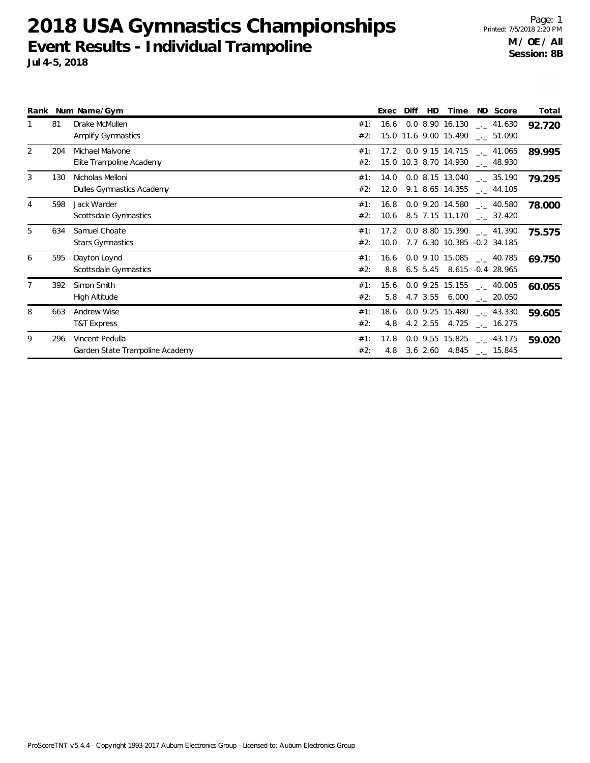**2018 USA Gymnastics Championships Event Results - Individual Trampoline Jul 4-5, 2018**

Page: 1 Printed: 7/5/2018 2:20 PM **M / OE / All Session: 8B**

|   |     | Rank Num Name/Gym                             |            | Exec        | Diff | HD. | Time | ND Score                                                                  | Total  |
|---|-----|-----------------------------------------------|------------|-------------|------|-----|------|---------------------------------------------------------------------------|--------|
|   | 81  | Drake McMullen<br>Amplify Gymnastics          | #1:<br>#2: |             |      |     |      | $16.6$ 0.0 8.90 16.130 $\ldots$ 41.630<br>15.0 11.6 9.00 15.490 . 51.090  | 92.720 |
| 2 | 204 | Michael Malvone<br>Elite Trampoline Academy   | #1:<br>#2: |             |      |     |      | $17.2$ 0.0 9.15 14.715 $\ldots$ 41.065<br>15.0 10.3 8.70 14.930 __ 48.930 | 89.995 |
| 3 | 130 | Nicholas Melloni<br>Dulles Gymnastics Academy | #1:<br>#2: | 12.0        |      |     |      | 14.0 0.0 8.15 13.040 ___ 35.190<br>$9.1$ 8.65 14.355 $\_ 44.105$          | 79.295 |
| 4 | 598 | Jack Warder<br>Scottsdale Gymnastics          | #1:        | 16.8        |      |     |      | $0.0$ 9.20 14.580 $\ldots$ 40.580<br>#2: 10.6 8.5 7.15 11.170 . 37.420    | 78.000 |
| 5 | 634 | Samuel Choate<br><b>Stars Gymnastics</b>      | #1:<br>#2: | 10.0        |      |     |      | $17.2$ 0.0 8.80 15.390 $\_\_$ 41.390<br>7.7 6.30 10.385 -0.2 34.185       | 75.575 |
| 6 | 595 | Dayton Loynd<br>Scottsdale Gymnastics         | #1:<br>#2: | 8.8         |      |     |      | $16.6$ 0.0 9.10 15.085 $\ldots$ 40.785<br>6.5 5.45 8.615 -0.4 28.965      | 69.750 |
|   | 392 | Simon Smith<br>High Altitude                  | #1:<br>#2: | 15.6<br>5.8 |      |     |      | $0.0$ 9.25 15.155 $\_ 40.005$<br>4.7 3.55 6.000 . 20.050                  | 60.055 |

#2: 4.8 4.2 2.55 4.725 \_\_ 16.275 8 663 Andrew Wise 15.480 and the set of the set of the set of the set of the set of the set of the set of the set of the set of the set of the set of the set of the set of the set of the set of the set of the set of the se T&T Express 2.55 #2: 4.8 3.6 2.60 4.845 \_\_ 15.845 9 296 Vincent Pedulla 15.825 and 15.825 and 15.825 and 15.825 and 15.825 and 15.825 and 15.825 and 15.825 and 15.825 and 15.825 and 15.825 and 15.825 and 15.825 and 15.825 and 15.825 and 15.825 and 15.825 and 15.825 and 15 Garden State Trampoline Academy \_.\_ **59.020** 43.175 #1: 17.8 0.0 9.55

ProScoreTNT v5.4.4 - Copyright 1993-2017 Auburn Electronics Group - Licensed to: Auburn Electronics Group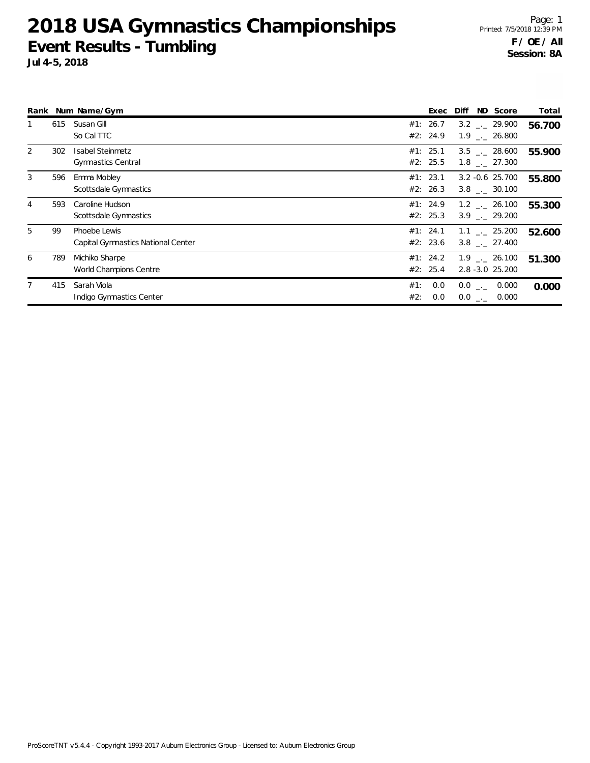**2018 USA Gymnastics Championships Event Results - Tumbling**

|                |     | Rank Num Name/Gym                                  |            | Exec                 | ND Score<br>Diff                                       | Total  |
|----------------|-----|----------------------------------------------------|------------|----------------------|--------------------------------------------------------|--------|
|                | 615 | Susan Gill<br>So Cal TTC                           |            | #1: 26.7<br>#2: 24.9 | $3.2$ $_{\sim}$ 29.900<br>$1.9$ $_{\leftarrow}$ 26.800 | 56.700 |
| $\overline{2}$ | 302 | Isabel Steinmetz<br><b>Gymnastics Central</b>      |            | #1: 25.1<br>#2: 25.5 | $3.5$ $-.$ 28.600<br>1.8 . 27.300                      | 55.900 |
| 3              | 596 | Emma Mobley<br>Scottsdale Gymnastics               |            | #1: 23.1<br>#2: 26.3 | $3.2 - 0.6$ 25.700<br>$3.8$ $_{-1}$ 30.100             | 55.800 |
| 4              | 593 | Caroline Hudson<br>Scottsdale Gymnastics           |            | #1: 24.9<br>#2: 25.3 | $1.2$ $_{\sim}$ 26.100<br>$3.9$ $-.29.200$             | 55.300 |
| 5              | 99  | Phoebe Lewis<br>Capital Gymnastics National Center |            | #1: 24.1<br>#2: 23.6 | $1.1$ _._ 25.200<br>$3.8$ $_{\sim}$ 27.400             | 52.600 |
| 6              | 789 | Michiko Sharpe<br>World Champions Centre           |            | #1: 24.2<br>#2: 25.4 | $1.9$ $_{\sim}$ 26.100<br>$2.8 - 3.0$ $25.200$         | 51.300 |
|                | 415 | Sarah Viola<br>Indigo Gymnastics Center            | #1:<br>#2: | 0.0<br>0.0           | $0.0$ _._ 0.000<br>$0.0$ _ $-$ 0.000                   | 0.000  |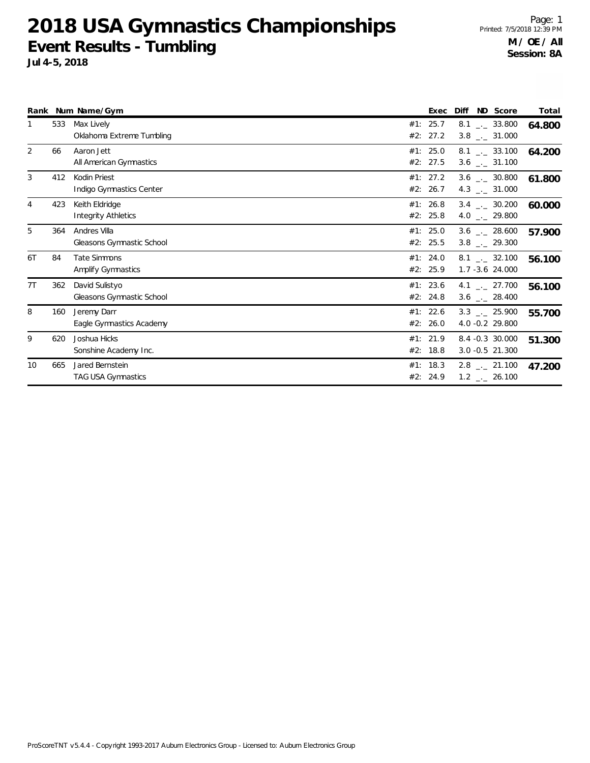**2018 USA Gymnastics Championships Event Results - Tumbling**

|                |     | Rank Num Name/Gym                            |     | Exec                 | Diff | ND Score                                                     | Total  |
|----------------|-----|----------------------------------------------|-----|----------------------|------|--------------------------------------------------------------|--------|
| 1              | 533 | Max Lively<br>Oklahoma Extreme Tumbling      |     | #1: 25.7<br>#2: 27.2 |      | $8.1$ $-.$ 33.800<br>$3.8$ $_{\leftarrow}$ 31.000            | 64.800 |
| 2              | 66  | Aaron Jett<br>All American Gymnastics        |     | #1: 25.0<br>#2: 27.5 |      | $8.1$ _._ 33.100<br>$3.6$ $_{\leftarrow}$ 31.100             | 64.200 |
| 3              | 412 | Kodin Priest<br>Indigo Gymnastics Center     |     | #1: 27.2<br>#2: 26.7 |      | $3.6$ $_{\leftarrow}$ 30.800<br>4.3 $_{\leftarrow}$ 31.000   | 61.800 |
| $\overline{4}$ | 423 | Keith Eldridge<br><b>Integrity Athletics</b> |     | #1: 26.8<br>#2: 25.8 |      | $3.4$ $-$ 30.200<br>4.0 $\ldots$ 29.800                      | 60.000 |
| 5              | 364 | Andres Villa<br>Gleasons Gymnastic School    |     | #1: 25.0<br>#2: 25.5 |      | $3.6$ _ 28.600<br>$3.8$ $_{-}$ 29.300                        | 57.900 |
| 6T             | 84  | <b>Tate Simmons</b><br>Amplify Gymnastics    |     | #1: 24.0<br>#2: 25.9 |      | $8.1$ $_{\sim}$ 32.100<br>$1.7 - 3.6$ 24.000                 | 56.100 |
| 7T             | 362 | David Sulistyo<br>Gleasons Gymnastic School  |     | #1: 23.6<br>#2: 24.8 |      | 4.1 $\frac{1}{2}$ 27.700<br>$3.6$ _ 28.400                   | 56.100 |
| 8              | 160 | Jeremy Darr<br>Eagle Gymnastics Academy      |     | #1: 22.6<br>#2: 26.0 |      | $3.3$ $_{\leftarrow}$ 25.900<br>4.0 -0.2 29.800              | 55.700 |
| 9              | 620 | Joshua Hicks<br>Sonshine Academy Inc.        | #2: | #1: 21.9<br>18.8     |      | 8.4 -0.3 30.000<br>$3.0 - 0.5$ 21.300                        | 51.300 |
| 10             | 665 | Jared Bernstein<br><b>TAG USA Gymnastics</b> |     | #1: 18.3<br>#2: 24.9 |      | $2.8$ $_{\leftarrow}$ 21.100<br>$1.2$ $_{\leftarrow}$ 26.100 | 47.200 |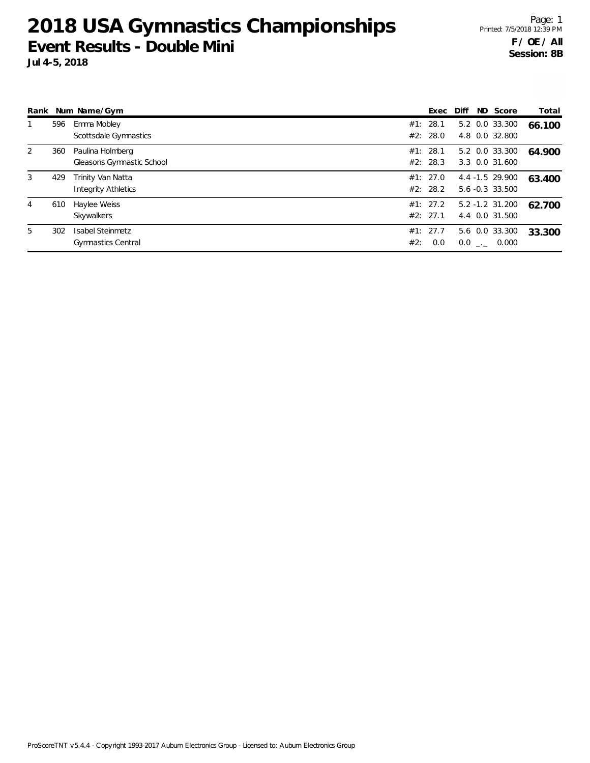**2018 USA Gymnastics Championships Event Results - Double Mini**

|   |     | Rank Num Name/Gym                                    |     | Exec                 | Diff | ND Score                             | Total  |
|---|-----|------------------------------------------------------|-----|----------------------|------|--------------------------------------|--------|
|   | 596 | Emma Mobley<br>Scottsdale Gymnastics                 |     | #1: 28.1<br>#2: 28.0 |      | 5.2 0.0 33.300<br>4.8 0.0 32.800     | 66.100 |
| 2 | 360 | Paulina Holmberg<br>Gleasons Gymnastic School        |     | #1: 28.1<br>#2: 28.3 |      | 5.2 0.0 33.300<br>3.3 0.0 31.600     | 64.900 |
| 3 | 429 | Trinity Van Natta<br><b>Integrity Athletics</b>      |     | #1: 27.0<br>#2: 28.2 |      | 4.4 -1.5 29.900<br>5.6 -0.3 33.500   | 63.400 |
| 4 | 610 | Haylee Weiss<br>Skywalkers                           |     | #1: 27.2<br>#2: 27.1 |      | $5.2 - 1.2$ 31.200<br>4.4 0.0 31.500 | 62.700 |
| 5 | 302 | <b>Isabel Steinmetz</b><br><b>Gymnastics Central</b> | #2: | #1: 27.7<br>0.0      |      | 5.6 0.0 33.300<br>$0.0$ _._ 0.000    | 33.300 |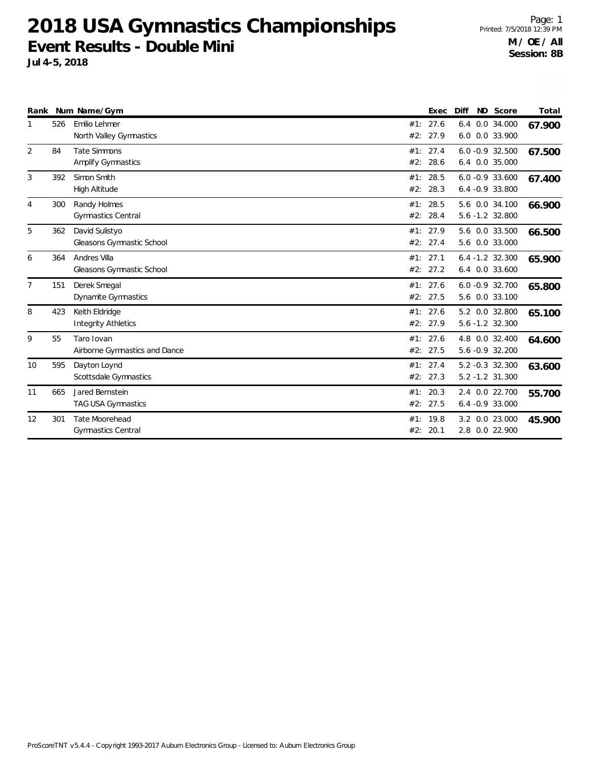**2018 USA Gymnastics Championships Event Results - Double Mini**

|                |     | Rank Num Name/Gym                                |            | Exec             | Diff                                   | ND Score | Total  |
|----------------|-----|--------------------------------------------------|------------|------------------|----------------------------------------|----------|--------|
| 1              | 526 | Emilio Lehmer<br>North Valley Gymnastics         | #1:<br>#2: | 27.6<br>27.9     | 6.4 0.0 34.000<br>6.0 0.0 33.900       |          | 67.900 |
| $\overline{2}$ | 84  | <b>Tate Simmons</b><br><b>Amplify Gymnastics</b> | #1:<br>#2: | 27.4<br>28.6     | $6.0 - 0.9$ 32.500<br>6.4 0.0 35.000   |          | 67.500 |
| 3              | 392 | Simon Smith<br><b>High Altitude</b>              | #1:<br>#2: | 28.5<br>28.3     | $6.0 - 0.9$ 33.600<br>$6.4 -0.933.800$ |          | 67.400 |
| 4              | 300 | Randy Holmes<br><b>Gymnastics Central</b>        | #1:<br>#2: | 28.5<br>28.4     | 5.6 0.0 34.100<br>5.6 -1.2 32.800      |          | 66.900 |
| 5              | 362 | David Sulistyo<br>Gleasons Gymnastic School      | #2:        | #1: 27.9<br>27.4 | 5.6 0.0 33.500<br>5.6 0.0 33.000       |          | 66.500 |
| 6              | 364 | Andres Villa<br>Gleasons Gymnastic School        | #1:<br>#2: | 27.1<br>27.2     | $6.4 - 1.2$ 32.300<br>6.4 0.0 33.600   |          | 65.900 |
| $\overline{7}$ | 151 | Derek Smegal<br>Dynamite Gymnastics              | #1:        | 27.6<br>#2: 27.5 | $6.0 - 0.9 32.700$<br>5.6 0.0 33.100   |          | 65.800 |
| 8              | 423 | Keith Eldridge<br><b>Integrity Athletics</b>     | #1:<br>#2: | 27.6<br>27.9     | 5.2 0.0 32.800<br>5.6 -1.2 32.300      |          | 65.100 |
| 9              | 55  | Taro Iovan<br>Airborne Gymnastics and Dance      | #1:<br>#2: | 27.6<br>27.5     | 4.8 0.0 32.400<br>5.6 -0.9 32.200      |          | 64.600 |
| 10             | 595 | Dayton Loynd<br>Scottsdale Gymnastics            | #1:        | 27.4<br>#2: 27.3 | 5.2 -0.3 32.300<br>$5.2 - 1.2$ 31.300  |          | 63.600 |
| 11             | 665 | Jared Bernstein<br><b>TAG USA Gymnastics</b>     | #1:<br>#2: | 20.3<br>27.5     | 2.4 0.0 22.700<br>$6.4 -0.933.000$     |          | 55.700 |
| 12             | 301 | Tate Moorehead<br><b>Gymnastics Central</b>      | #1:<br>#2: | 19.8<br>20.1     | 3.2 0.0 23.000<br>2.8 0.0 22.900       |          | 45.900 |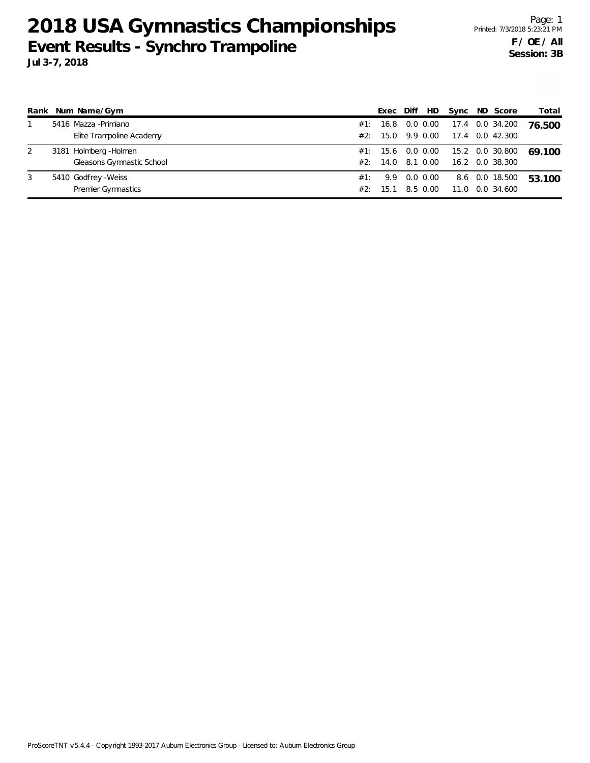## **2018 USA Gymnastics Championships Event Results - Synchro Trampoline Jul 3-7, 2018**

|   | Rank Num Name/Gym         |     | Exec Diff         | HD.      |  | Sync ND Score       | Total  |
|---|---------------------------|-----|-------------------|----------|--|---------------------|--------|
|   | 5416 Mazza - Primiano     |     | #1: 16.8 0.0 0.00 |          |  | 17.4   0.0   34.200 | 76.500 |
|   | Elite Trampoline Academy  |     | #2: 15.0 9.9 0.00 |          |  | 17.4 0.0 42.300     |        |
| 2 | 3181 Holmberg - Holmen    |     | #1: 15.6 0.0 0.00 |          |  | 15.2 0.0 30.800     | 69 100 |
|   | Gleasons Gymnastic School |     | #2: 14.0 8.1 0.00 |          |  | 16.2 0.0 38.300     |        |
| 3 | 5410 Godfrey - Weiss      |     | #1: 9.9 0.0 0.00  |          |  | 8.6 0.0 18.500      | 53.100 |
|   | <b>Premier Gymnastics</b> | #2: | -15.1             | 8.5 0.00 |  | 11.0 0.0 34.600     |        |

ProScoreTNT v5.4.4 - Copyright 1993-2017 Auburn Electronics Group - Licensed to: Auburn Electronics Group